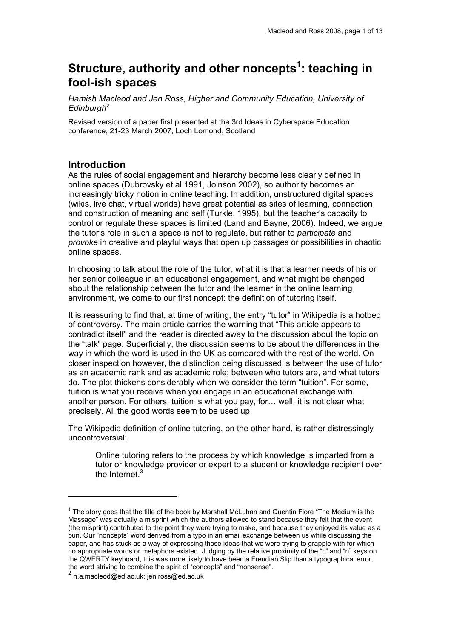# **Structure, authority and other noncepts<sup>1</sup> : teaching in fool-ish spaces**

*Hamish Macleod and Jen Ross, Higher and Community Education, University of Edinburgh<sup>2</sup>*

Revised version of a paper first presented at the 3rd Ideas in Cyberspace Education conference, 21-23 March 2007, Loch Lomond, Scotland

# **Introduction**

As the rules of social engagement and hierarchy become less clearly defined in online spaces (Dubrovsky et al 1991, Joinson 2002), so authority becomes an increasingly tricky notion in online teaching. In addition, unstructured digital spaces (wikis, live chat, virtual worlds) have great potential as sites of learning, connection and construction of meaning and self (Turkle, 1995), but the teacher's capacity to control or regulate these spaces is limited (Land and Bayne, 2006). Indeed, we argue the tutor's role in such a space is not to regulate, but rather to *participate* and *provoke* in creative and playful ways that open up passages or possibilities in chaotic online spaces.

In choosing to talk about the role of the tutor, what it is that a learner needs of his or her senior colleague in an educational engagement, and what might be changed about the relationship between the tutor and the learner in the online learning environment, we come to our first noncept: the definition of tutoring itself.

It is reassuring to find that, at time of writing, the entry "tutor" in Wikipedia is a hotbed of controversy. The main article carries the warning that "This article appears to contradict itself" and the reader is directed away to the discussion about the topic on the "talk" page. Superficially, the discussion seems to be about the differences in the way in which the word is used in the UK as compared with the rest of the world. On closer inspection however, the distinction being discussed is between the use of tutor as an academic rank and as academic role; between who tutors are, and what tutors do. The plot thickens considerably when we consider the term "tuition". For some, tuition is what you receive when you engage in an educational exchange with another person. For others, tuition is what you pay, for… well, it is not clear what precisely. All the good words seem to be used up.

The Wikipedia definition of online tutoring, on the other hand, is rather distressingly uncontroversial:

Online tutoring refers to the process by which knowledge is imparted from a tutor or knowledge provider or expert to a student or knowledge recipient over the Internet.<sup>3</sup>

 $\overline{a}$ 

 $1$  The story goes that the title of the book by Marshall McLuhan and Quentin Fiore "The Medium is the Massage" was actually a misprint which the authors allowed to stand because they felt that the event (the misprint) contributed to the point they were trying to make, and because they enjoyed its value as a pun. Our "noncepts" word derived from a typo in an email exchange between us while discussing the paper, and has stuck as a way of expressing those ideas that we were trying to grapple with for which no appropriate words or metaphors existed. Judging by the relative proximity of the "c" and "n" keys on the QWERTY keyboard, this was more likely to have been a Freudian Slip than a typographical error, the word striving to combine the spirit of "concepts" and "nonsense".

 $^{2}$  h.a.macleod@ed.ac.uk; jen.ross@ed.ac.uk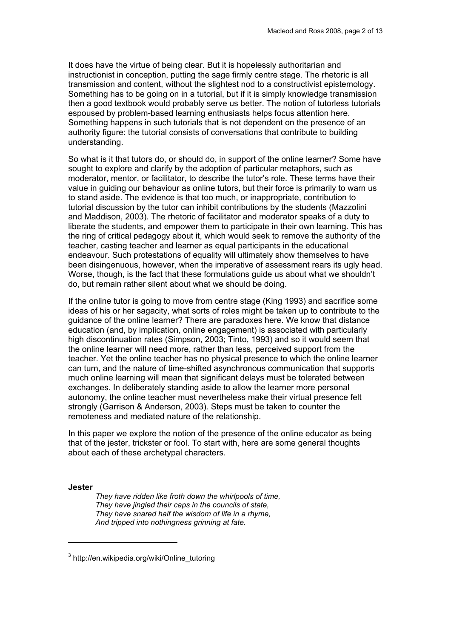It does have the virtue of being clear. But it is hopelessly authoritarian and instructionist in conception, putting the sage firmly centre stage. The rhetoric is all transmission and content, without the slightest nod to a constructivist epistemology. Something has to be going on in a tutorial, but if it is simply knowledge transmission then a good textbook would probably serve us better. The notion of tutorless tutorials espoused by problem-based learning enthusiasts helps focus attention here. Something happens in such tutorials that is not dependent on the presence of an authority figure: the tutorial consists of conversations that contribute to building understanding.

So what is it that tutors do, or should do, in support of the online learner? Some have sought to explore and clarify by the adoption of particular metaphors, such as moderator, mentor, or facilitator, to describe the tutor's role. These terms have their value in guiding our behaviour as online tutors, but their force is primarily to warn us to stand aside. The evidence is that too much, or inappropriate, contribution to tutorial discussion by the tutor can inhibit contributions by the students (Mazzolini and Maddison, 2003). The rhetoric of facilitator and moderator speaks of a duty to liberate the students, and empower them to participate in their own learning. This has the ring of critical pedagogy about it, which would seek to remove the authority of the teacher, casting teacher and learner as equal participants in the educational endeavour. Such protestations of equality will ultimately show themselves to have been disingenuous, however, when the imperative of assessment rears its ugly head. Worse, though, is the fact that these formulations guide us about what we shouldn't do, but remain rather silent about what we should be doing.

If the online tutor is going to move from centre stage (King 1993) and sacrifice some ideas of his or her sagacity, what sorts of roles might be taken up to contribute to the guidance of the online learner? There are paradoxes here. We know that distance education (and, by implication, online engagement) is associated with particularly high discontinuation rates (Simpson, 2003; Tinto, 1993) and so it would seem that the online learner will need more, rather than less, perceived support from the teacher. Yet the online teacher has no physical presence to which the online learner can turn, and the nature of time-shifted asynchronous communication that supports much online learning will mean that significant delays must be tolerated between exchanges. In deliberately standing aside to allow the learner more personal autonomy, the online teacher must nevertheless make their virtual presence felt strongly (Garrison & Anderson, 2003). Steps must be taken to counter the remoteness and mediated nature of the relationship.

In this paper we explore the notion of the presence of the online educator as being that of the jester, trickster or fool. To start with, here are some general thoughts about each of these archetypal characters.

**Jester**

*They have ridden like froth down the whirlpools of time, They have jingled their caps in the councils of state, They have snared half the wisdom of life in a rhyme, And tripped into nothingness grinning at fate.*

<sup>&</sup>lt;sup>3</sup> http://en.wikipedia.org/wiki/Online\_tutoring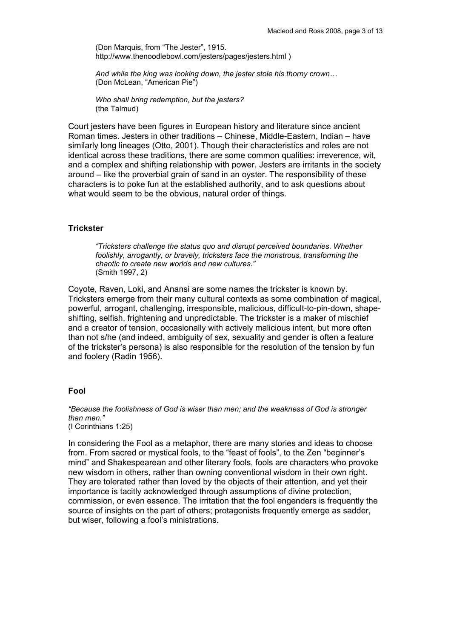(Don Marquis, from "The Jester", 1915. http://www.thenoodlebowl.com/jesters/pages/jesters.html )

*And while the king was looking down, the jester stole his thorny crown…* (Don McLean, "American Pie")

*Who shall bring redemption, but the jesters?* (the Talmud)

Court jesters have been figures in European history and literature since ancient Roman times. Jesters in other traditions – Chinese, Middle-Eastern, Indian – have similarly long lineages (Otto, 2001). Though their characteristics and roles are not identical across these traditions, there are some common qualities: irreverence, wit, and a complex and shifting relationship with power. Jesters are irritants in the society around – like the proverbial grain of sand in an oyster. The responsibility of these characters is to poke fun at the established authority, and to ask questions about what would seem to be the obvious, natural order of things.

#### **Trickster**

*"Tricksters challenge the status quo and disrupt perceived boundaries. Whether foolishly, arrogantly, or bravely, tricksters face the monstrous, transforming the chaotic to create new worlds and new cultures."* (Smith 1997, 2)

Coyote, Raven, Loki, and Anansi are some names the trickster is known by. Tricksters emerge from their many cultural contexts as some combination of magical, powerful, arrogant, challenging, irresponsible, malicious, difficult-to-pin-down, shapeshifting, selfish, frightening and unpredictable. The trickster is a maker of mischief and a creator of tension, occasionally with actively malicious intent, but more often than not s/he (and indeed, ambiguity of sex, sexuality and gender is often a feature of the trickster's persona) is also responsible for the resolution of the tension by fun and foolery (Radin 1956).

#### **Fool**

*"Because the foolishness of God is wiser than men; and the weakness of God is stronger than men."*  (I Corinthians 1:25)

In considering the Fool as a metaphor, there are many stories and ideas to choose from. From sacred or mystical fools, to the "feast of fools", to the Zen "beginner's mind" and Shakespearean and other literary fools, fools are characters who provoke new wisdom in others, rather than owning conventional wisdom in their own right. They are tolerated rather than loved by the objects of their attention, and yet their importance is tacitly acknowledged through assumptions of divine protection, commission, or even essence. The irritation that the fool engenders is frequently the source of insights on the part of others; protagonists frequently emerge as sadder, but wiser, following a fool's ministrations.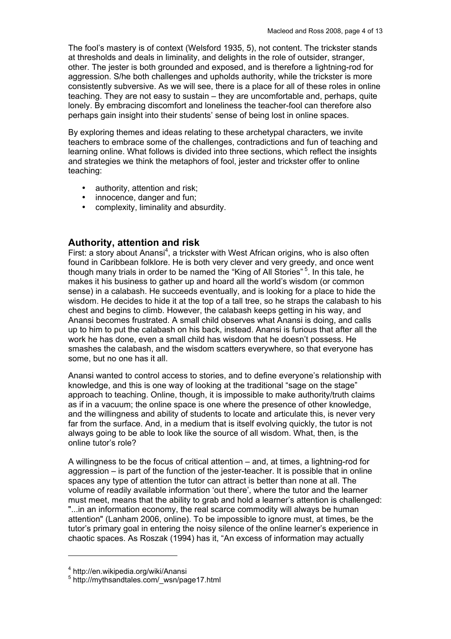The fool's mastery is of context (Welsford 1935, 5), not content. The trickster stands at thresholds and deals in liminality, and delights in the role of outsider, stranger, other. The jester is both grounded and exposed, and is therefore a lightning-rod for aggression. S/he both challenges and upholds authority, while the trickster is more consistently subversive. As we will see, there is a place for all of these roles in online teaching. They are not easy to sustain – they are uncomfortable and, perhaps, quite lonely. By embracing discomfort and loneliness the teacher-fool can therefore also perhaps gain insight into their students' sense of being lost in online spaces.

By exploring themes and ideas relating to these archetypal characters, we invite teachers to embrace some of the challenges, contradictions and fun of teaching and learning online. What follows is divided into three sections, which reflect the insights and strategies we think the metaphors of fool, jester and trickster offer to online teaching:

- authority, attention and risk;
- innocence, danger and fun:
- complexity, liminality and absurdity.

## **Authority, attention and risk**

First: a story about Anansi<sup>4</sup>, a trickster with West African origins, who is also often found in Caribbean folklore. He is both very clever and very greedy, and once went though many trials in order to be named the "King of All Stories"<sup>5</sup>. In this tale, he makes it his business to gather up and hoard all the world's wisdom (or common sense) in a calabash. He succeeds eventually, and is looking for a place to hide the wisdom. He decides to hide it at the top of a tall tree, so he straps the calabash to his chest and begins to climb. However, the calabash keeps getting in his way, and Anansi becomes frustrated. A small child observes what Anansi is doing, and calls up to him to put the calabash on his back, instead. Anansi is furious that after all the work he has done, even a small child has wisdom that he doesn't possess. He smashes the calabash, and the wisdom scatters everywhere, so that everyone has some, but no one has it all.

Anansi wanted to control access to stories, and to define everyone's relationship with knowledge, and this is one way of looking at the traditional "sage on the stage" approach to teaching. Online, though, it is impossible to make authority/truth claims as if in a vacuum; the online space is one where the presence of other knowledge, and the willingness and ability of students to locate and articulate this, is never very far from the surface. And, in a medium that is itself evolving quickly, the tutor is not always going to be able to look like the source of all wisdom. What, then, is the online tutor's role?

A willingness to be the focus of critical attention – and, at times, a lightning-rod for aggression – is part of the function of the jester-teacher. It is possible that in online spaces any type of attention the tutor can attract is better than none at all. The volume of readily available information 'out there', where the tutor and the learner must meet, means that the ability to grab and hold a learner's attention is challenged: "...in an information economy, the real scarce commodity will always be human attention" (Lanham 2006, online). To be impossible to ignore must, at times, be the tutor's primary goal in entering the noisy silence of the online learner's experience in chaotic spaces. As Roszak (1994) has it, "An excess of information may actually

 $\overline{a}$ 

<sup>4</sup> http://en.wikipedia.org/wiki/Anansi

<sup>5</sup> http://mythsandtales.com/\_wsn/page17.html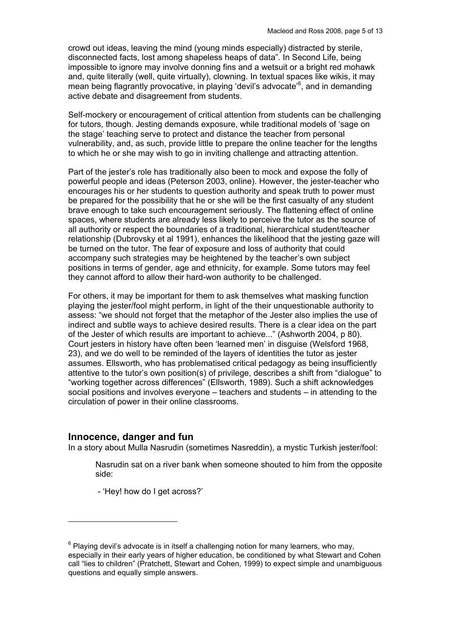crowd out ideas, leaving the mind (young minds especially) distracted by sterile, disconnected facts, lost among shapeless heaps of data". In Second Life, being impossible to ignore may involve donning fins and a wetsuit or a bright red mohawk and, quite literally (well, quite virtually), clowning. In textual spaces like wikis, it may mean being flagrantly provocative, in playing 'devil's advocate'<sup>6</sup>, and in demanding active debate and disagreement from students.

Self-mockery or encouragement of critical attention from students can be challenging for tutors, though. Jesting demands exposure, while traditional models of 'sage on the stage' teaching serve to protect and distance the teacher from personal vulnerability, and, as such, provide little to prepare the online teacher for the lengths to which he or she may wish to go in inviting challenge and attracting attention.

Part of the jester's role has traditionally also been to mock and expose the folly of powerful people and ideas (Peterson 2003, online). However, the jester-teacher who encourages his or her students to question authority and speak truth to power must be prepared for the possibility that he or she will be the first casualty of any student brave enough to take such encouragement seriously. The flattening effect of online spaces, where students are already less likely to perceive the tutor as the source of all authority or respect the boundaries of a traditional, hierarchical student/teacher relationship (Dubrovsky et al 1991), enhances the likelihood that the jesting gaze will be turned on the tutor. The fear of exposure and loss of authority that could accompany such strategies may be heightened by the teacher's own subject positions in terms of gender, age and ethnicity, for example. Some tutors may feel they cannot afford to allow their hard-won authority to be challenged.

For others, it may be important for them to ask themselves what masking function playing the jester/fool might perform, in light of the their unquestionable authority to assess: "we should not forget that the metaphor of the Jester also implies the use of indirect and subtle ways to achieve desired results. There is a clear idea on the part of the Jester of which results are important to achieve..." (Ashworth 2004, p 80). Court jesters in history have often been 'learned men' in disguise (Welsford 1968, 23), and we do well to be reminded of the layers of identities the tutor as jester assumes. Ellsworth, who has problematised critical pedagogy as being insufficiently attentive to the tutor's own position(s) of privilege, describes a shift from "dialogue" to "working together across differences" (Ellsworth, 1989). Such a shift acknowledges social positions and involves everyone – teachers and students – in attending to the circulation of power in their online classrooms.

## **Innocence, danger and fun**

 $\overline{a}$ 

In a story about Mulla Nasrudin (sometimes Nasreddin), a mystic Turkish jester/fool:

Nasrudin sat on a river bank when someone shouted to him from the opposite side:

- 'Hey! how do I get across?'

 $<sup>6</sup>$  Playing devil's advocate is in itself a challenging notion for many learners, who may,</sup> especially in their early years of higher education, be conditioned by what Stewart and Cohen call "lies to children" (Pratchett, Stewart and Cohen, 1999) to expect simple and unambiguous questions and equally simple answers.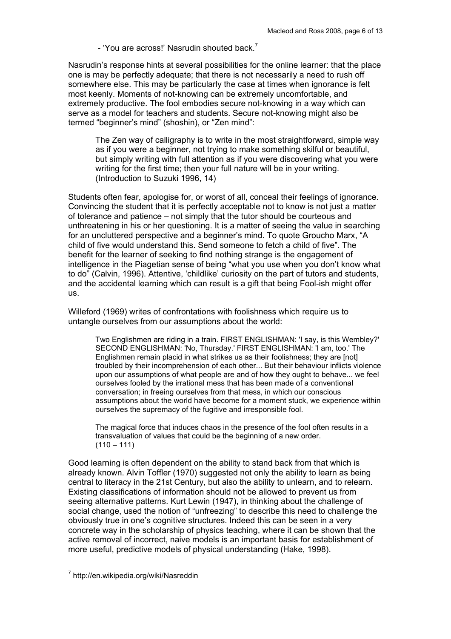$-$  'You are across!' Nasrudin shouted back.<sup>7</sup>

Nasrudin's response hints at several possibilities for the online learner: that the place one is may be perfectly adequate; that there is not necessarily a need to rush off somewhere else. This may be particularly the case at times when ignorance is felt most keenly. Moments of not-knowing can be extremely uncomfortable, and extremely productive. The fool embodies secure not-knowing in a way which can serve as a model for teachers and students. Secure not-knowing might also be termed "beginner's mind" (shoshin), or "Zen mind":

The Zen way of calligraphy is to write in the most straightforward, simple way as if you were a beginner, not trying to make something skilful or beautiful, but simply writing with full attention as if you were discovering what you were writing for the first time; then your full nature will be in your writing. (Introduction to Suzuki 1996, 14)

Students often fear, apologise for, or worst of all, conceal their feelings of ignorance. Convincing the student that it is perfectly acceptable not to know is not just a matter of tolerance and patience – not simply that the tutor should be courteous and unthreatening in his or her questioning. It is a matter of seeing the value in searching for an uncluttered perspective and a beginner's mind. To quote Groucho Marx, "A child of five would understand this. Send someone to fetch a child of five". The benefit for the learner of seeking to find nothing strange is the engagement of intelligence in the Piagetian sense of being "what you use when you don't know what to do" (Calvin, 1996). Attentive, 'childlike' curiosity on the part of tutors and students, and the accidental learning which can result is a gift that being Fool-ish might offer us.

Willeford (1969) writes of confrontations with foolishness which require us to untangle ourselves from our assumptions about the world:

Two Englishmen are riding in a train. FIRST ENGLISHMAN: 'I say, is this Wembley?' SECOND ENGLISHMAN: 'No, Thursday.' FIRST ENGLISHMAN: 'I am, too.' The Englishmen remain placid in what strikes us as their foolishness; they are [not] troubled by their incomprehension of each other... But their behaviour inflicts violence upon our assumptions of what people are and of how they ought to behave... we feel ourselves fooled by the irrational mess that has been made of a conventional conversation; in freeing ourselves from that mess, in which our conscious assumptions about the world have become for a moment stuck, we experience within ourselves the supremacy of the fugitive and irresponsible fool.

The magical force that induces chaos in the presence of the fool often results in a transvaluation of values that could be the beginning of a new order.  $(110 - 111)$ 

Good learning is often dependent on the ability to stand back from that which is already known. Alvin Toffler (1970) suggested not only the ability to learn as being central to literacy in the 21st Century, but also the ability to unlearn, and to relearn. Existing classifications of information should not be allowed to prevent us from seeing alternative patterns. Kurt Lewin (1947), in thinking about the challenge of social change, used the notion of "unfreezing" to describe this need to challenge the obviously true in one's cognitive structures. Indeed this can be seen in a very concrete way in the scholarship of physics teaching, where it can be shown that the active removal of incorrect, naive models is an important basis for establishment of more useful, predictive models of physical understanding (Hake, 1998).

<sup>7</sup> http://en.wikipedia.org/wiki/Nasreddin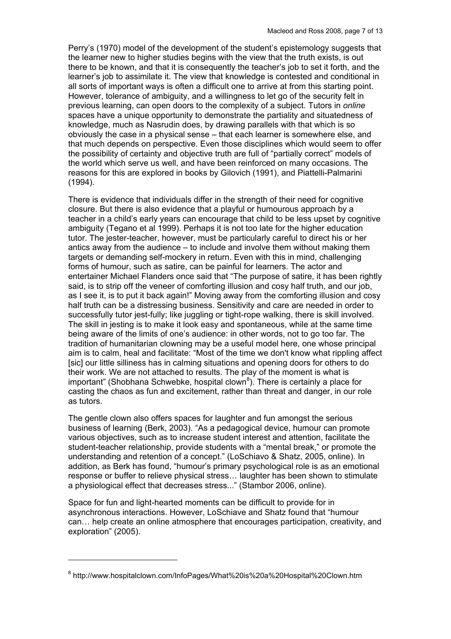Perry's (1970) model of the development of the student's epistemology suggests that the learner new to higher studies begins with the view that the truth exists, is out there to be known, and that it is consequently the teacher's job to set it forth, and the learner's job to assimilate it. The view that knowledge is contested and conditional in all sorts of important ways is often a difficult one to arrive at from this starting point. However, tolerance of ambiguity, and a willingness to let go of the security felt in previous learning, can open doors to the complexity of a subject. Tutors in *online* spaces have a unique opportunity to demonstrate the partiality and situatedness of knowledge, much as Nasrudin does, by drawing parallels with that which is so obviously the case in a physical sense – that each learner is somewhere else, and that much depends on perspective. Even those disciplines which would seem to offer the possibility of certainty and objective truth are full of "partially correct" models of the world which serve us well, and have been reinforced on many occasions. The reasons for this are explored in books by Gilovich (1991), and Piattelli-Palmarini (1994).

There is evidence that individuals differ in the strength of their need for cognitive closure. But there is also evidence that a playful or humourous approach by a teacher in a child's early years can encourage that child to be less upset by cognitive ambiguity (Tegano et al 1999). Perhaps it is not too late for the higher education tutor. The jester-teacher, however, must be particularly careful to direct his or her antics away from the audience – to include and involve them without making them targets or demanding self-mockery in return. Even with this in mind, challenging forms of humour, such as satire, can be painful for learners. The actor and entertainer Michael Flanders once said that "The purpose of satire, it has been rightly said, is to strip off the veneer of comforting illusion and cosy half truth, and our job, as I see it, is to put it back again!" Moving away from the comforting illusion and cosy half truth can be a distressing business. Sensitivity and care are needed in order to successfully tutor jest-fully; like juggling or tight-rope walking, there is skill involved. The skill in jesting is to make it look easy and spontaneous, while at the same time being aware of the limits of one's audience: in other words, not to go too far. The tradition of humanitarian clowning may be a useful model here, one whose principal aim is to calm, heal and facilitate: "Most of the time we don't know what rippling affect [sic] our little silliness has in calming situations and opening doors for others to do their work. We are not attached to results. The play of the moment is what is important" (Shobhana Schwebke, hospital clown $\delta$ ). There is certainly a place for casting the chaos as fun and excitement, rather than threat and danger, in our role as tutors.

The gentle clown also offers spaces for laughter and fun amongst the serious business of learning (Berk, 2003). "As a pedagogical device, humour can promote various objectives, such as to increase student interest and attention, facilitate the student-teacher relationship, provide students with a "mental break," or promote the understanding and retention of a concept." (LoSchiavo & Shatz, 2005, online). In addition, as Berk has found, "humour's primary psychological role is as an emotional response or buffer to relieve physical stress… laughter has been shown to stimulate a physiological effect that decreases stress..." (Stambor 2006, online).

Space for fun and light-hearted moments can be difficult to provide for in asynchronous interactions. However, LoSchiave and Shatz found that "humour can… help create an online atmosphere that encourages participation, creativity, and exploration" (2005).

<sup>&</sup>lt;sup>8</sup> http://www.hospitalclown.com/InfoPages/What%20is%20a%20Hospital%20Clown.htm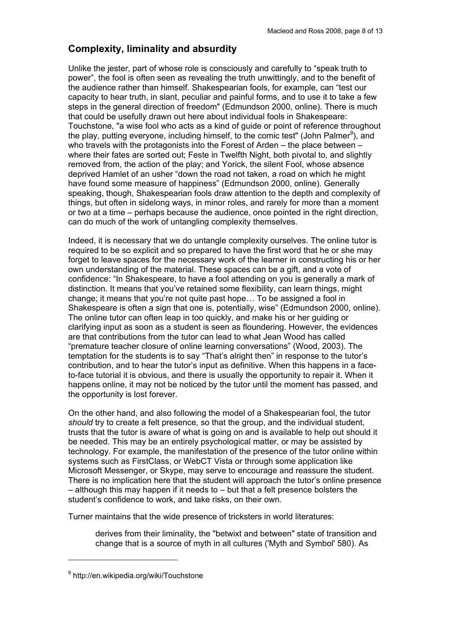# **Complexity, liminality and absurdity**

Unlike the jester, part of whose role is consciously and carefully to "speak truth to power", the fool is often seen as revealing the truth unwittingly, and to the benefit of the audience rather than himself. Shakespearian fools, for example, can "test our capacity to hear truth, in slant, peculiar and painful forms, and to use it to take a few steps in the general direction of freedom" (Edmundson 2000, online). There is much that could be usefully drawn out here about individual fools in Shakespeare: Touchstone, "a wise fool who acts as a kind of guide or point of reference throughout the play, putting everyone, including himself, to the comic test" (John Palmer<sup>9</sup>), and who travels with the protagonists into the Forest of Arden – the place between – where their fates are sorted out; Feste in Twelfth Night, both pivotal to, and slightly removed from, the action of the play; and Yorick, the silent Fool, whose absence deprived Hamlet of an usher "down the road not taken, a road on which he might have found some measure of happiness" (Edmundson 2000, online). Generally speaking, though, Shakespearian fools draw attention to the depth and complexity of things, but often in sidelong ways, in minor roles, and rarely for more than a moment or two at a time – perhaps because the audience, once pointed in the right direction, can do much of the work of untangling complexity themselves.

Indeed, it is necessary that we do untangle complexity ourselves. The online tutor is required to be so explicit and so prepared to have the first word that he or she may forget to leave spaces for the necessary work of the learner in constructing his or her own understanding of the material. These spaces can be a gift, and a vote of confidence: "In Shakespeare, to have a fool attending on you is generally a mark of distinction. It means that you've retained some flexibility, can learn things, might change; it means that you're not quite past hope… To be assigned a fool in Shakespeare is often a sign that one is, potentially, wise" (Edmundson 2000, online). The online tutor can often leap in too quickly, and make his or her guiding or clarifying input as soon as a student is seen as floundering. However, the evidences are that contributions from the tutor can lead to what Jean Wood has called "premature teacher closure of online learning conversations" (Wood, 2003). The temptation for the students is to say "That's alright then" in response to the tutor's contribution, and to hear the tutor's input as definitive. When this happens in a faceto-face tutorial it is obvious, and there is usually the opportunity to repair it. When it happens online, it may not be noticed by the tutor until the moment has passed, and the opportunity is lost forever.

On the other hand, and also following the model of a Shakespearian fool, the tutor *should* try to create a felt presence, so that the group, and the individual student, trusts that the tutor is aware of what is going on and is available to help out should it be needed. This may be an entirely psychological matter, or may be assisted by technology. For example, the manifestation of the presence of the tutor online within systems such as FirstClass, or WebCT Vista or through some application like Microsoft Messenger, or Skype, may serve to encourage and reassure the student. There is no implication here that the student will approach the tutor's online presence  $-$  although this may happen if it needs to  $-$  but that a felt presence bolsters the student's confidence to work, and take risks, on their own.

Turner maintains that the wide presence of tricksters in world literatures:

derives from their liminality, the "betwixt and between" state of transition and change that is a source of myth in all cultures ('Myth and Symbol' 580). As

<sup>&</sup>lt;sup>9</sup> http://en.wikipedia.org/wiki/Touchstone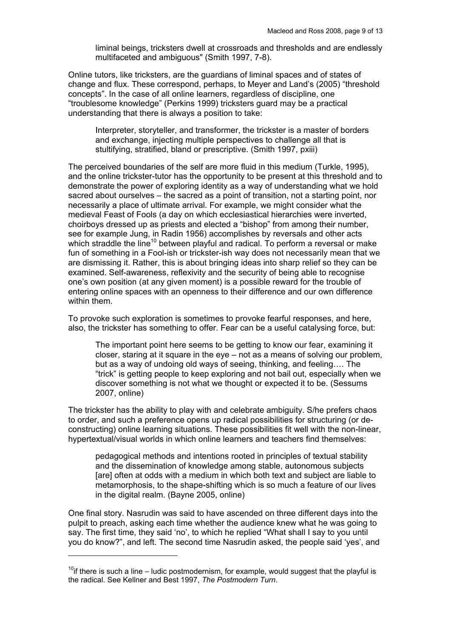liminal beings, tricksters dwell at crossroads and thresholds and are endlessly multifaceted and ambiguous" (Smith 1997, 7-8).

Online tutors, like tricksters, are the guardians of liminal spaces and of states of change and flux. These correspond, perhaps, to Meyer and Land's (2005) "threshold concepts". In the case of all online learners, regardless of discipline, one "troublesome knowledge" (Perkins 1999) tricksters guard may be a practical understanding that there is always a position to take:

Interpreter, storyteller, and transformer, the trickster is a master of borders and exchange, injecting multiple perspectives to challenge all that is stultifying, stratified, bland or prescriptive. (Smith 1997, pxiii)

The perceived boundaries of the self are more fluid in this medium (Turkle, 1995), and the online trickster-tutor has the opportunity to be present at this threshold and to demonstrate the power of exploring identity as a way of understanding what we hold sacred about ourselves – the sacred as a point of transition, not a starting point, nor necessarily a place of ultimate arrival. For example, we might consider what the medieval Feast of Fools (a day on which ecclesiastical hierarchies were inverted, choirboys dressed up as priests and elected a "bishop" from among their number, see for example Jung, in Radin 1956) accomplishes by reversals and other acts which straddle the line<sup>10</sup> between playful and radical. To perform a reversal or make fun of something in a Fool-ish or trickster-ish way does not necessarily mean that we are dismissing it. Rather, this is about bringing ideas into sharp relief so they can be examined. Self-awareness, reflexivity and the security of being able to recognise one's own position (at any given moment) is a possible reward for the trouble of entering online spaces with an openness to their difference and our own difference within them.

To provoke such exploration is sometimes to provoke fearful responses, and here, also, the trickster has something to offer. Fear can be a useful catalysing force, but:

The important point here seems to be getting to know our fear, examining it closer, staring at it square in the eye – not as a means of solving our problem, but as a way of undoing old ways of seeing, thinking, and feeling…. The "trick" is getting people to keep exploring and not bail out, especially when we discover something is not what we thought or expected it to be. (Sessums 2007, online)

The trickster has the ability to play with and celebrate ambiguity. S/he prefers chaos to order, and such a preference opens up radical possibilities for structuring (or deconstructing) online learning situations. These possibilities fit well with the non-linear, hypertextual/visual worlds in which online learners and teachers find themselves:

pedagogical methods and intentions rooted in principles of textual stability and the dissemination of knowledge among stable, autonomous subjects [are] often at odds with a medium in which both text and subject are liable to metamorphosis, to the shape-shifting which is so much a feature of our lives in the digital realm. (Bayne 2005, online)

One final story. Nasrudin was said to have ascended on three different days into the pulpit to preach, asking each time whether the audience knew what he was going to say. The first time, they said 'no', to which he replied "What shall I say to you until you do know?", and left. The second time Nasrudin asked, the people said 'yes', and

 $\overline{a}$ 

 $10$ <sup>to</sup> if there is such a line – ludic postmodernism, for example, would suggest that the playful is the radical. See Kellner and Best 1997, *The Postmodern Turn*.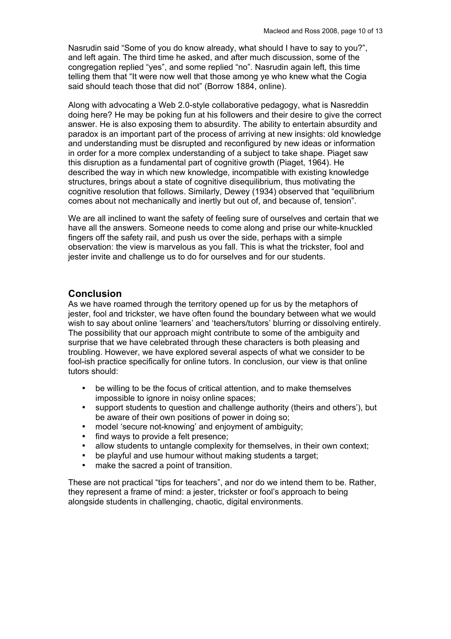Nasrudin said "Some of you do know already, what should I have to say to you?", and left again. The third time he asked, and after much discussion, some of the congregation replied "yes", and some replied "no". Nasrudin again left, this time telling them that "It were now well that those among ye who knew what the Cogia said should teach those that did not" (Borrow 1884, online).

Along with advocating a Web 2.0-style collaborative pedagogy, what is Nasreddin doing here? He may be poking fun at his followers and their desire to give the correct answer. He is also exposing them to absurdity. The ability to entertain absurdity and paradox is an important part of the process of arriving at new insights: old knowledge and understanding must be disrupted and reconfigured by new ideas or information in order for a more complex understanding of a subject to take shape. Piaget saw this disruption as a fundamental part of cognitive growth (Piaget, 1964). He described the way in which new knowledge, incompatible with existing knowledge structures, brings about a state of cognitive disequilibrium, thus motivating the cognitive resolution that follows. Similarly, Dewey (1934) observed that "equilibrium comes about not mechanically and inertly but out of, and because of, tension".

We are all inclined to want the safety of feeling sure of ourselves and certain that we have all the answers. Someone needs to come along and prise our white-knuckled fingers off the safety rail, and push us over the side, perhaps with a simple observation: the view is marvelous as you fall. This is what the trickster, fool and jester invite and challenge us to do for ourselves and for our students.

## **Conclusion**

As we have roamed through the territory opened up for us by the metaphors of jester, fool and trickster, we have often found the boundary between what we would wish to say about online 'learners' and 'teachers/tutors' blurring or dissolving entirely. The possibility that our approach might contribute to some of the ambiguity and surprise that we have celebrated through these characters is both pleasing and troubling. However, we have explored several aspects of what we consider to be fool-ish practice specifically for online tutors. In conclusion, our view is that online tutors should:

- be willing to be the focus of critical attention, and to make themselves impossible to ignore in noisy online spaces;
- support students to question and challenge authority (theirs and others'), but be aware of their own positions of power in doing so;
- model 'secure not-knowing' and enjoyment of ambiguity;<br>• find ways to provide a felt presence:
- find ways to provide a felt presence:
- allow students to untangle complexity for themselves, in their own context;
- be playful and use humour without making students a target:
- make the sacred a point of transition.

These are not practical "tips for teachers", and nor do we intend them to be. Rather, they represent a frame of mind: a jester, trickster or fool's approach to being alongside students in challenging, chaotic, digital environments.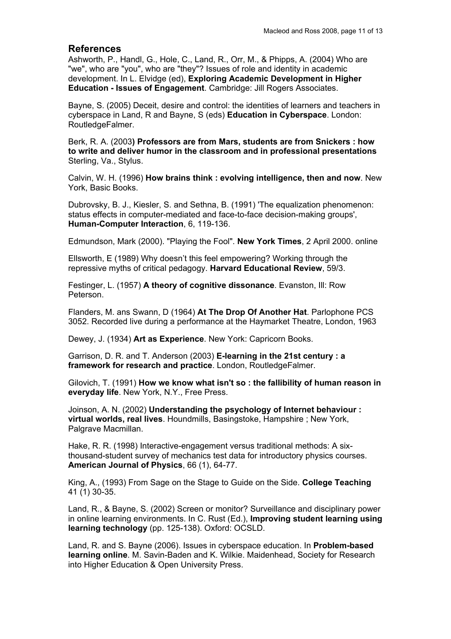#### **References**

Ashworth, P., Handl, G., Hole, C., Land, R., Orr, M., & Phipps, A. (2004) Who are "we", who are "you", who are "they"? Issues of role and identity in academic development. In L. Elvidge (ed), **Exploring Academic Development in Higher Education - Issues of Engagement**. Cambridge: Jill Rogers Associates.

Bayne, S. (2005) Deceit, desire and control: the identities of learners and teachers in cyberspace in Land, R and Bayne, S (eds) **Education in Cyberspace**. London: RoutledgeFalmer.

Berk, R. A. (2003**) Professors are from Mars, students are from Snickers : how to write and deliver humor in the classroom and in professional presentations** Sterling, Va., Stylus.

Calvin, W. H. (1996) **How brains think : evolving intelligence, then and now**. New York, Basic Books.

Dubrovsky, B. J., Kiesler, S. and Sethna, B. (1991) 'The equalization phenomenon: status effects in computer-mediated and face-to-face decision-making groups', **Human-Computer Interaction**, 6, 119-136.

Edmundson, Mark (2000). "Playing the Fool". **New York Times**, 2 April 2000. online

Ellsworth, E (1989) Why doesn't this feel empowering? Working through the repressive myths of critical pedagogy. **Harvard Educational Review**, 59/3.

Festinger, L. (1957) **A theory of cognitive dissonance**. Evanston, Ill: Row Peterson.

Flanders, M. ans Swann, D (1964) **At The Drop Of Another Hat**. Parlophone PCS 3052. Recorded live during a performance at the Haymarket Theatre, London, 1963

Dewey, J. (1934) **Art as Experience**. New York: Capricorn Books.

Garrison, D. R. and T. Anderson (2003) **E-learning in the 21st century : a framework for research and practice**. London, RoutledgeFalmer.

Gilovich, T. (1991) **How we know what isn't so : the fallibility of human reason in everyday life**. New York, N.Y., Free Press.

Joinson, A. N. (2002) **Understanding the psychology of Internet behaviour : virtual worlds, real lives**. Houndmills, Basingstoke, Hampshire ; New York, Palgrave Macmillan.

Hake, R. R. (1998) Interactive-engagement versus traditional methods: A sixthousand-student survey of mechanics test data for introductory physics courses. **American Journal of Physics**, 66 (1), 64-77.

King, A., (1993) From Sage on the Stage to Guide on the Side. **College Teaching** 41 (1) 30-35.

Land, R., & Bayne, S. (2002) Screen or monitor? Surveillance and disciplinary power in online learning environments. In C. Rust (Ed.), **Improving student learning using learning technology** (pp. 125-138). Oxford: OCSLD.

Land, R. and S. Bayne (2006). Issues in cyberspace education. In **Problem-based learning online**. M. Savin-Baden and K. Wilkie. Maidenhead, Society for Research into Higher Education & Open University Press.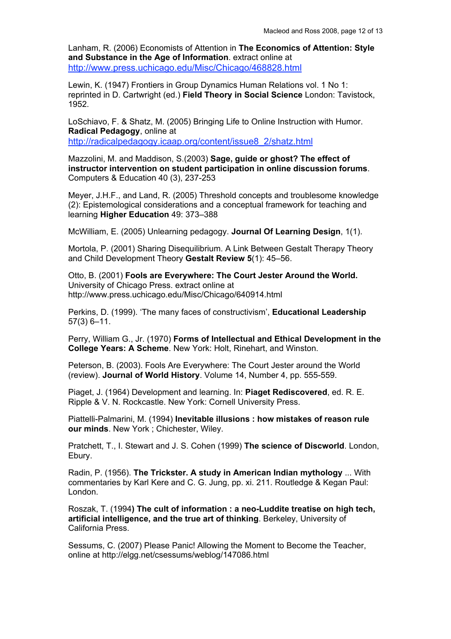Lanham, R. (2006) Economists of Attention in **The Economics of Attention: Style and Substance in the Age of Information**. extract online at http://www.press.uchicago.edu/Misc/Chicago/468828.html

Lewin, K. (1947) Frontiers in Group Dynamics Human Relations vol. 1 No 1: reprinted in D. Cartwright (ed.) **Field Theory in Social Science** London: Tavistock, 1952.

LoSchiavo, F. & Shatz, M. (2005) Bringing Life to Online Instruction with Humor. **Radical Pedagogy**, online at http://radicalpedagogy.icaap.org/content/issue8\_2/shatz.html

Mazzolini, M. and Maddison, S.(2003) **Sage, guide or ghost? The effect of instructor intervention on student participation in online discussion forums**. Computers & Education 40 (3), 237-253

Meyer, J.H.F., and Land, R. (2005) Threshold concepts and troublesome knowledge (2): Epistemological considerations and a conceptual framework for teaching and learning **Higher Education** 49: 373–388

McWilliam, E. (2005) Unlearning pedagogy. **Journal Of Learning Design**, 1(1).

Mortola, P. (2001) Sharing Disequilibrium. A Link Between Gestalt Therapy Theory and Child Development Theory **Gestalt Review 5**(1): 45–56.

Otto, B. (2001) **Fools are Everywhere: The Court Jester Around the World.**  University of Chicago Press. extract online at http://www.press.uchicago.edu/Misc/Chicago/640914.html

Perkins, D. (1999). 'The many faces of constructivism', **Educational Leadership**  57(3) 6–11.

Perry, William G., Jr. (1970) **Forms of Intellectual and Ethical Development in the College Years: A Scheme**. New York: Holt, Rinehart, and Winston.

Peterson, B. (2003). Fools Are Everywhere: The Court Jester around the World (review). **Journal of World History**. Volume 14, Number 4, pp. 555-559.

Piaget, J. (1964) Development and learning. In: **Piaget Rediscovered**, ed. R. E. Ripple & V. N. Rockcastle. New York: Cornell University Press.

Piattelli-Palmarini, M. (1994) **Inevitable illusions : how mistakes of reason rule our minds**. New York ; Chichester, Wiley.

Pratchett, T., I. Stewart and J. S. Cohen (1999) **The science of Discworld**. London, Ebury.

Radin, P. (1956). **The Trickster. A study in American Indian mythology** ... With commentaries by Karl Kere and C. G. Jung, pp. xi. 211. Routledge & Kegan Paul: London.

Roszak, T. (1994**) The cult of information : a neo-Luddite treatise on high tech, artificial intelligence, and the true art of thinking**. Berkeley, University of California Press.

Sessums, C. (2007) Please Panic! Allowing the Moment to Become the Teacher, online at http://elgg.net/csessums/weblog/147086.html